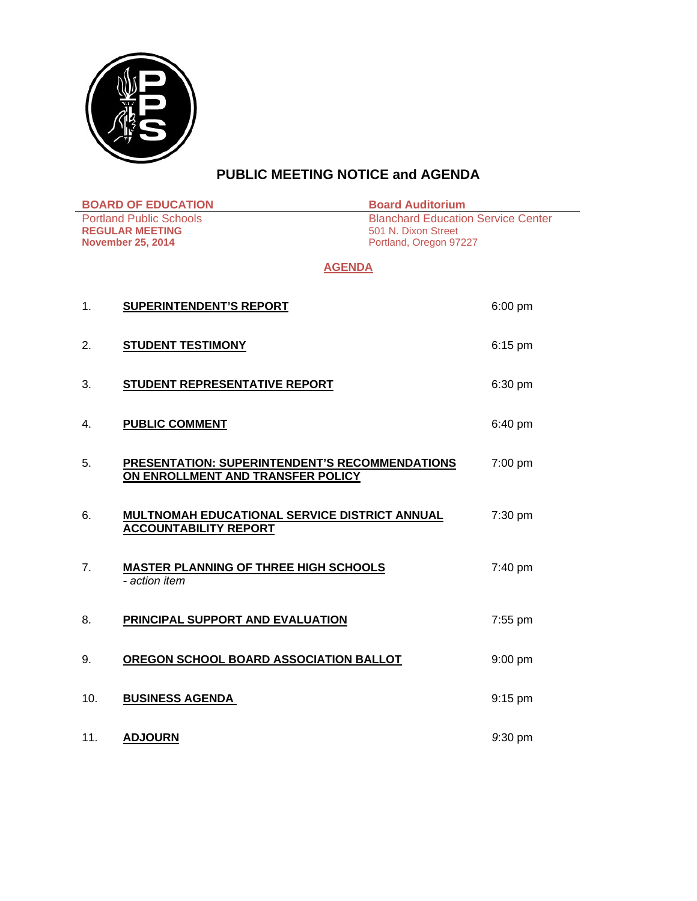

# **PUBLIC MEETING NOTICE and AGENDA**

| <b>BOARD OF EDUCATION</b>                                                            |                                                                                            | <b>Board Auditorium</b>                                                                    |
|--------------------------------------------------------------------------------------|--------------------------------------------------------------------------------------------|--------------------------------------------------------------------------------------------|
| <b>Portland Public Schools</b><br><b>REGULAR MEETING</b><br><b>November 25, 2014</b> |                                                                                            | <b>Blanchard Education Service Center</b><br>501 N. Dixon Street<br>Portland, Oregon 97227 |
| <b>AGENDA</b>                                                                        |                                                                                            |                                                                                            |
| 1.                                                                                   | <b>SUPERINTENDENT'S REPORT</b>                                                             | $6:00$ pm                                                                                  |
| 2.                                                                                   | <b>STUDENT TESTIMONY</b>                                                                   | $6:15$ pm                                                                                  |
| 3.                                                                                   | STUDENT REPRESENTATIVE REPORT                                                              | 6:30 pm                                                                                    |
| 4.                                                                                   | <b>PUBLIC COMMENT</b>                                                                      | 6:40 pm                                                                                    |
| 5.                                                                                   | <b>PRESENTATION: SUPERINTENDENT'S RECOMMENDATIONS</b><br>ON ENROLLMENT AND TRANSFER POLICY | 7:00 pm                                                                                    |
| 6.                                                                                   | <b>MULTNOMAH EDUCATIONAL SERVICE DISTRICT ANNUAL</b><br><b>ACCOUNTABILITY REPORT</b>       | 7:30 pm                                                                                    |
| 7.                                                                                   | <b>MASTER PLANNING OF THREE HIGH SCHOOLS</b><br>- action item                              | 7:40 pm                                                                                    |
| 8.                                                                                   | PRINCIPAL SUPPORT AND EVALUATION                                                           | 7:55 pm                                                                                    |
| 9.                                                                                   | OREGON SCHOOL BOARD ASSOCIATION BALLOT                                                     | 9:00 pm                                                                                    |
| 10.                                                                                  | <b>BUSINESS AGENDA</b>                                                                     | $9:15$ pm                                                                                  |
| 11.                                                                                  | <b>ADJOURN</b>                                                                             | 9:30 pm                                                                                    |